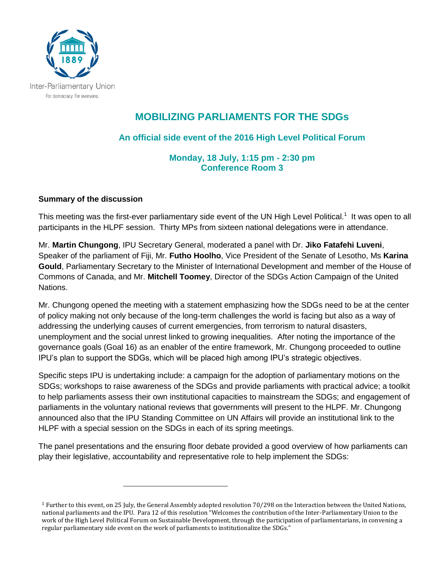

## **MOBILIZING PARLIAMENTS FOR THE SDGs**

**An official side event of the 2016 High Level Political Forum** 

**Monday, 18 July, 1:15 pm - 2:30 pm Conference Room 3**

## **Summary of the discussion**

 $\overline{a}$ 

This meeting was the first-ever parliamentary side event of the UN High Level Political.<sup>1</sup> It was open to all participants in the HLPF session. Thirty MPs from sixteen national delegations were in attendance.

Mr. **Martin Chungong**, IPU Secretary General, moderated a panel with Dr. **Jiko Fatafehi Luveni**, Speaker of the parliament of Fiji, Mr. **Futho Hoolho**, Vice President of the Senate of Lesotho, Ms **Karina Gould**, Parliamentary Secretary to the Minister of International Development and member of the House of Commons of Canada, and Mr. **Mitchell Toomey**, Director of the SDGs Action Campaign of the United Nations.

Mr. Chungong opened the meeting with a statement emphasizing how the SDGs need to be at the center of policy making not only because of the long-term challenges the world is facing but also as a way of addressing the underlying causes of current emergencies, from terrorism to natural disasters, unemployment and the social unrest linked to growing inequalities. After noting the importance of the governance goals (Goal 16) as an enabler of the entire framework, Mr. Chungong proceeded to outline IPU's plan to support the SDGs, which will be placed high among IPU's strategic objectives.

Specific steps IPU is undertaking include: a campaign for the adoption of parliamentary motions on the SDGs; workshops to raise awareness of the SDGs and provide parliaments with practical advice; a toolkit to help parliaments assess their own institutional capacities to mainstream the SDGs; and engagement of parliaments in the voluntary national reviews that governments will present to the HLPF. Mr. Chungong announced also that the IPU Standing Committee on UN Affairs will provide an institutional link to the HLPF with a special session on the SDGs in each of its spring meetings.

The panel presentations and the ensuring floor debate provided a good overview of how parliaments can play their legislative, accountability and representative role to help implement the SDGs:

<sup>1</sup> Further to this event, on 25 July, the General Assembly adopted resolution 70/298 on the Interaction between the United Nations, national parliaments and the IPU. Para 12 of this resolution "Welcomes the contribution of the Inter-Parliamentary Union to the work of the High Level Political Forum on Sustainable Development, through the participation of parliamentarians, in convening a regular parliamentary side event on the work of parliaments to institutionalize the SDGs."